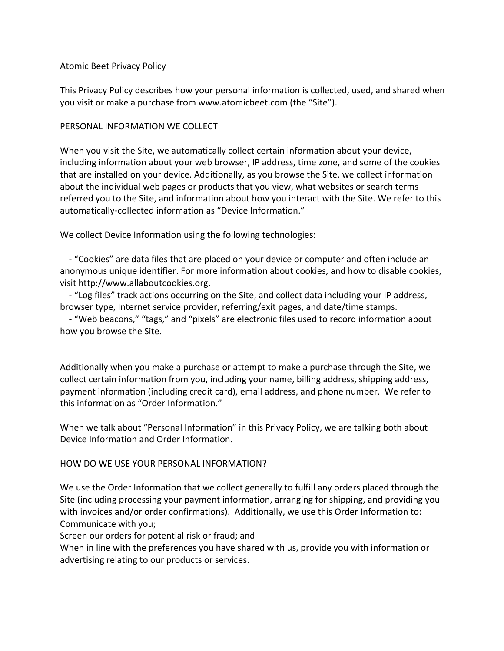## Atomic Beet Privacy Policy

This Privacy Policy describes how your personal information is collected, used, and shared when you visit or make a purchase from www.atomicbeet.com (the "Site").

# PERSONAL INFORMATION WE COLLECT

When you visit the Site, we automatically collect certain information about your device, including information about your web browser, IP address, time zone, and some of the cookies that are installed on your device. Additionally, as you browse the Site, we collect information about the individual web pages or products that you view, what websites or search terms referred you to the Site, and information about how you interact with the Site. We refer to this automatically-collected information as "Device Information."

We collect Device Information using the following technologies:

 - "Cookies" are data files that are placed on your device or computer and often include an anonymous unique identifier. For more information about cookies, and how to disable cookies, visit http://www.allaboutcookies.org.

 - "Log files" track actions occurring on the Site, and collect data including your IP address, browser type, Internet service provider, referring/exit pages, and date/time stamps.

 - "Web beacons," "tags," and "pixels" are electronic files used to record information about how you browse the Site.

Additionally when you make a purchase or attempt to make a purchase through the Site, we collect certain information from you, including your name, billing address, shipping address, payment information (including credit card), email address, and phone number. We refer to this information as "Order Information."

When we talk about "Personal Information" in this Privacy Policy, we are talking both about Device Information and Order Information.

# HOW DO WE USE YOUR PERSONAL INFORMATION?

We use the Order Information that we collect generally to fulfill any orders placed through the Site (including processing your payment information, arranging for shipping, and providing you with invoices and/or order confirmations). Additionally, we use this Order Information to: Communicate with you;

Screen our orders for potential risk or fraud; and

When in line with the preferences you have shared with us, provide you with information or advertising relating to our products or services.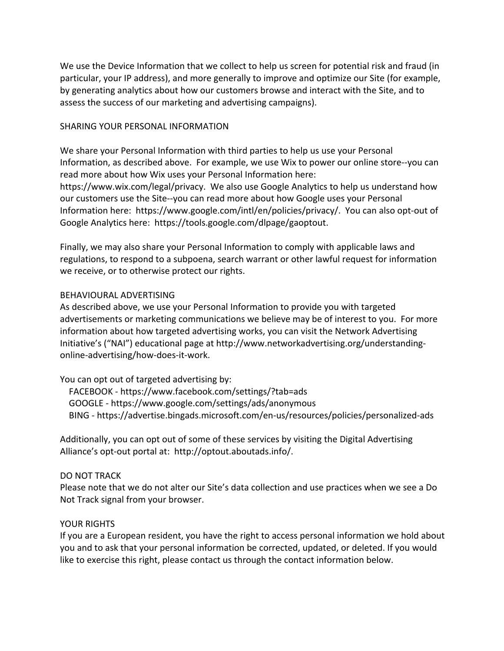We use the Device Information that we collect to help us screen for potential risk and fraud (in particular, your IP address), and more generally to improve and optimize our Site (for example, by generating analytics about how our customers browse and interact with the Site, and to assess the success of our marketing and advertising campaigns).

### SHARING YOUR PERSONAL INFORMATION

We share your Personal Information with third parties to help us use your Personal Information, as described above. For example, we use Wix to power our online store--you can read more about how Wix uses your Personal Information here: https://www.wix.com/legal/privacy. We also use Google Analytics to help us understand how our customers use the Site--you can read more about how Google uses your Personal Information here: https://www.google.com/intl/en/policies/privacy/. You can also opt-out of Google Analytics here: https://tools.google.com/dlpage/gaoptout.

Finally, we may also share your Personal Information to comply with applicable laws and regulations, to respond to a subpoena, search warrant or other lawful request for information we receive, or to otherwise protect our rights.

#### BEHAVIOURAL ADVERTISING

As described above, we use your Personal Information to provide you with targeted advertisements or marketing communications we believe may be of interest to you. For more information about how targeted advertising works, you can visit the Network Advertising Initiative's ("NAI") educational page at http://www.networkadvertising.org/understandingonline-advertising/how-does-it-work.

### You can opt out of targeted advertising by:

 FACEBOOK - https://www.facebook.com/settings/?tab=ads GOOGLE - https://www.google.com/settings/ads/anonymous BING - https://advertise.bingads.microsoft.com/en-us/resources/policies/personalized-ads

Additionally, you can opt out of some of these services by visiting the Digital Advertising Alliance's opt-out portal at: http://optout.aboutads.info/.

#### DO NOT TRACK

Please note that we do not alter our Site's data collection and use practices when we see a Do Not Track signal from your browser.

### YOUR RIGHTS

If you are a European resident, you have the right to access personal information we hold about you and to ask that your personal information be corrected, updated, or deleted. If you would like to exercise this right, please contact us through the contact information below.